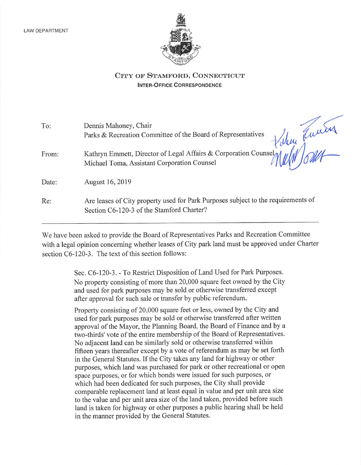

## CITY OF STAMFORD. CONNECTICUT Inter-Office Correspondence

| To:   | Dennis Mahoney, Chair<br>Parks & Recreation Committee of the Board of Representatives                                               |
|-------|-------------------------------------------------------------------------------------------------------------------------------------|
| From: | Kathryn Emmett, Director of Legal Affairs & Corporation Counsel<br>$\eta$ all $\eta$<br>Michael Toma, Assistant Corporation Counsel |
| Date: | August 16, 2019                                                                                                                     |
| Re:   | Are leases of City property used for Park Purposes subject to the requirements of<br>Section C6-120-3 of the Stamford Charter?      |

We have been asked to provide the Board of Representatives Parks and Recreation Committee witha legal opinion concerning whether leases of City park land must be approved under Charter section  $C6-120-3$ . The text of this section follows:

> Sec. C6-120-3. - To Restrict Disposition of Land Used for Park Purposes. No property consisting of more than 20,000 square feet owned by theCity and used for park purposes maybe sold or otherwise transferred except after approval for such sale or transfer by public referendum.

> Property consisting of 20,000 square feet or less, owned by the City and used for park purposes may be sold or otherwise transferred after written approval of the Mayor, the Planning Board, the Board of Finance and by a two-thirds' vote of the entire membership of the Board of Representatives. No adjacent land can be similarly sold or otherwise transferred within fifteen years thereafter except by a vote of referendum as may be set forth in the General Statutes. If the City takes any land for highway or other purposes, which land was purchased for park or other recreational or open space purposes, or for which bondswere issued for such purposes, or which had been dedicated for such purposes, the City shall provide comparable replacement land at least equal in value and per unit area size to the value and per unit area size of the land taken, provided before such land is taken for highway or other purposes a public hearing shall be held in the manner provided by the General Statutes.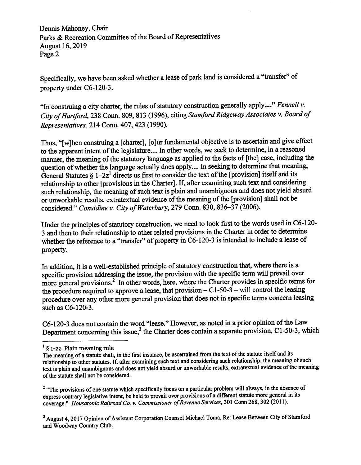Dennis Mahoney, Chair Parks & Recreation Committee of the Board of Representatives August 16,2019 Page 2

Specifically, we have been asked whether a lease of park land is considered a "transfer" of property under C6-120-3.

"In construing a city charter, the rules of statutory construction generally apply...." Fennell v. City of Hartford, 238 Conn. 809, 813 (1996), citing Stamford Ridgeway Associates v. Board of Representatives, 214Conn. 407,423 (1990).

Thus, "[w]hen construing a [charter], [o]ur fundamental objective is to ascertain and give effect to the apparent intent of the legislature.... In other words, we seek to determine, in a reasoned manner, the meaning of the statutory language as applied to the facts of [the] case, including the question of whether the language actually does apply.... In seeking to determine that meaning, General Statutes  $\S$  1-2z<sup>1</sup> directs us first to consider the text of the [provision] itself and its relationship to other [provisions in the Charter]. If, after examining such text and considering such relationship, the meaning of such text is plain and unambiguous and does not yield absurd or unworkable results, extratextual evidence of the meaning of the [provision] shall not be considered." Considine v. City of Waterbury, 279 Conn. 830, 836-37 (2006).

Under the principles of statutory construction, we need to look first to the words used in C6-120-3 and then to their relationship to other related provisions in the Charter in order to determine whether the reference to a "transfer" of property in C6-120-3 is intended to include a lease of property.

In addition, it is a well-established principle of statutory construction that, where there is a specific provision addressing the issue, the provision with the specific term will prevail over more general provisions.<sup>2</sup> In other words, here, where the Charter provides in specific terms for the procedure required to approve a lease, that provision  $- C1-50-3$  – will control the leasing procedure over any other more general provision that does not in specific terms concern leasing such as C6-120-3.

C6-120-3 does not contain the word "lease." However, as noted in a prior opinion of the Law Department concerning this issue,<sup>3</sup> the Charter does contain a separate provision, C1-50-3, which

<sup>2</sup> "The provisions of one statute which specifically focus on a particular problem will always, in the absence of express contrary legislative intent, be held to prevail over provisions of a different statute more general in its coverage." Housatonic Railroad Co. v. Commissioner of Revenue Services, 301 Conn 268, 302 (2011).

<sup>3</sup> August 4, 2017 Opinion of Assistant Corporation Counsel Michael Toma, Re: Lease Between City of Stamford and Woodway Country Club.

 $^{1}$  § 1-2z. Plain meaning rule

The meaning of a statute shall, in the first instance, be ascertained from the text of the statute itself and its relationship to other statutes. If, after examining such text and considering such relationship, the meaning of such text is plain and unambiguous and does not yield absurd or unworkable results, extratextual evidence of the meaning of the statute shall not be considered.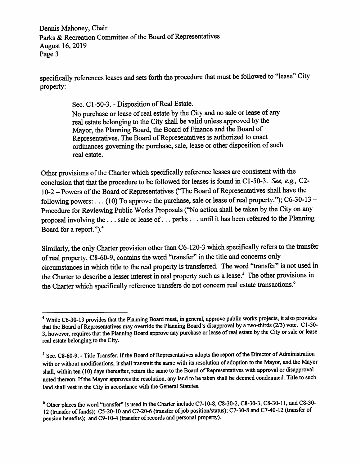Dennis Mahoney, Chair Parks & Recreation Committee of the Board of Representatives August 16,2019 Page 3

specifically references leases and sets forth the procedure that must be followed to "lease" City property:

Sec. C1-50-3. - Disposition of Real Estate.

No purchase or lease of real estate by the City and no sale or lease of any real estate belonging to the City shall be valid unless approved by the Mayor, the Planning Board, the Board of Finance and the Board of Representatives. The Board of Representatives is authorized to enact ordinances governing the purchase, sale, lease or other disposition of such real estate.

Other provisions of the Charter which specifically reference leases are consistent with the conclusion that that the procedure to be followed for leases is found in C1-50-3. See, e.g., C2-10-2 - Powers of the Board of Representatives ("The Board of Representatives shall have the following powers: . . . (10) To approve the purchase, sale or lease of real property."); C6-30-13 -Procedure for Reviewing Public Works Proposals ("No action shall be taken by the City on any proposal involving the ... sale or lease of ... parks ... until it has been referred to the Planning Board for a report.").<sup>4</sup>

Similarly, the only Charter provision other than C6-120-3 which specifically refers to the transfer of real property, C8-60-9, contains the word "transfer" in the title and concerns only circumstances in which title to the real property is transferred. The word "transfer" is not used in the Charter to describe a lesser interest in real property such as a lease.<sup>5</sup> The other provisions in the Charter which specifically reference transfers do not concern real estate transactions.<sup>6</sup>

<sup>&</sup>lt;sup>4</sup> While C6-30-13 provides that the Planning Board must, in general, approve public works projects, it also provides that the Board of Representatives may override the Planning Board's disapproval by a two-thirds (2/3) vote. C1-50-3, however, requires that the Planning Board approve any purchase or lease ofreal estate by the City or sale or lease real estate belonging to the City.

 $<sup>5</sup>$  Sec. C8-60-9. - Title Transfer. If the Board of Representatives adopts the report of the Director of Administration</sup> with or without modifications, it shall transmit the same with its resolution of adoption to the Mayor, and the Mayor shall, within ten (10) days thereafter, return the same to the Board of Representatives with approval or disapproval noted thereon. If the Mayor approves the resolution, any land to be taken shall be deemed condemned. Title to such land shall vest in the City in accordance with the General Statutes.

<sup>^</sup>Other places the word "transfer" is used in the Charter include C7-10-8, C8-30-2, C8-30-3, C8-30-11, and C8-30- 12 (transfer of funds); C5-20-10 and C7-20-6 (transfer of job position/status); C7-30-8 and C7-40-12 (transfer of pension benefits); and C9-10-4 (transfer of records and personal property).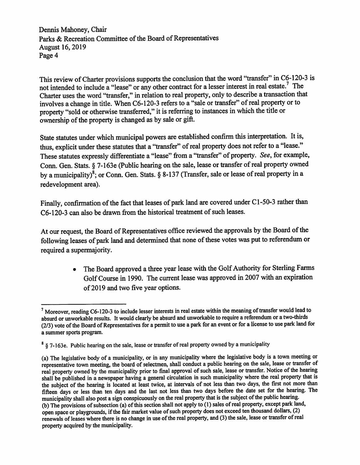Dennis Mahoney, Chair Parks & Recreation Committee of the Board of Representatives August 16,2019 Page 4

This review of Charter provisions supports the conclusion that the word "transfer" in C6-120-3 is not intended to include a "lease" or any other contract for a lesser interest in real estate.<sup>7</sup> The Charter uses the word "transfer," in relation to real property, only to describe a transaction that involves a change in title. When C6-120-3 refers to a "sale or transfer" of real property or to property "sold or otherwise transferred," it is referring to instances in which the title or ownership of the property is changed as by saleor gift.

State statutes under which municipal powers are established confirm this interpretation. It is, thus, explicit under these statutes that a "transfer" of real property does not refer to a "lease." These statutes expressly differentiate a "lease" from a "transfer" of property. See, for example, Conn. Gen. Stats. § 7-163e (Public hearing on the sale, lease or transfer of real property owned by a municipality)<sup>8</sup>; or Conn. Gen. Stats. §8-137 (Transfer, sale or lease of real property in a redevelopment area).

Finally, confirmation of the fact that leases of park land are covered under C1-50-3 rather than C6-120-3 can also be drawn from the historical treatment of such leases.

At our request, the Board of Representatives office reviewed the approvals by the Board of the following leases of park land and determined that none of these votes was put to referendum or required a supermajority.

> • The Board approved a three year lease with the Golf Authority for Sterling Farms Golf Course in 1990. The current lease was approved in 2007 with an expiration of 2019 and two five year options.

 $<sup>7</sup>$  Moreover, reading C6-120-3 to include lesser interests in real estate within the meaning of transfer would lead to</sup> absurd or unworkable results. It would clearly be absurd and unworkable to require a referendum or a two-thirds (2/3) vote of the Board of Representatives for a permit to use a park for an event or for a license to use park land for a summer sports program.

<sup>&</sup>lt;sup>8</sup> § 7-163e. Public hearing on the sale, lease or transfer of real property owned by a municipality

<sup>(</sup>a) The legislative body of a municipality, or in any municipality where the legislative body is a town meeting or representative town meeting, the board of selectmen, shall conduct a public hearing on the sale, lease or transfer of real property owned by the municipality prior to final approval of such sale, lease or transfer. Notice of the hearing shall be published in a newspaper having a general circulation in such municipality where the real property that is the subject of the hearing is located at least twice, at intervals of not less than two days, the first not more than fifteen days or less than ten days and the last not less than two days before the date set for the hearing. The municipality shall also post a sign conspicuously on the real property that is the subject of the public hearing. (b) The provisions of subsection (a) of this section shall not apply to (1) sales of real property, except park land, open space or playgrounds, if the fair market value of such property does not exceed ten thousand dollars, (2) renewals of leases where there is no change in use of the real property, and (3) the sale, lease or transfer of real property acquired by the municipality.